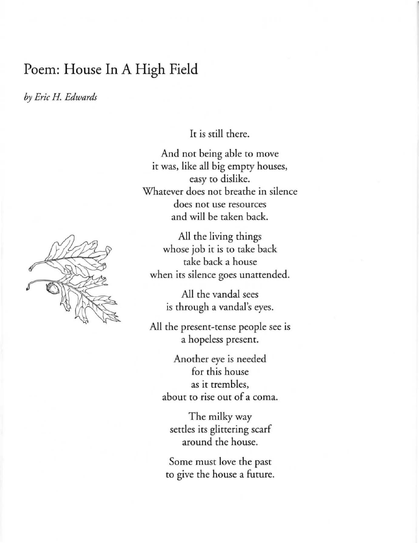## Poem: House In A High Field

*by Eric H. Edwards* 

It is still there.

And not being able to move it was, like all big empty houses, easy to dislike. Whatever does not breathe in silence does not use resources and will be taken back.

All the living things whose job it is to take back take back a house when its silence goes unattended.

> All the vandal sees is through a vandal's eyes.

All the present-tense people see is a hopeless present.

Another eye is needed for this house as it trembles, about to rise out of a coma.

The milky way settles its glittering scarf around the house.

Some must love the past to give the house a future.